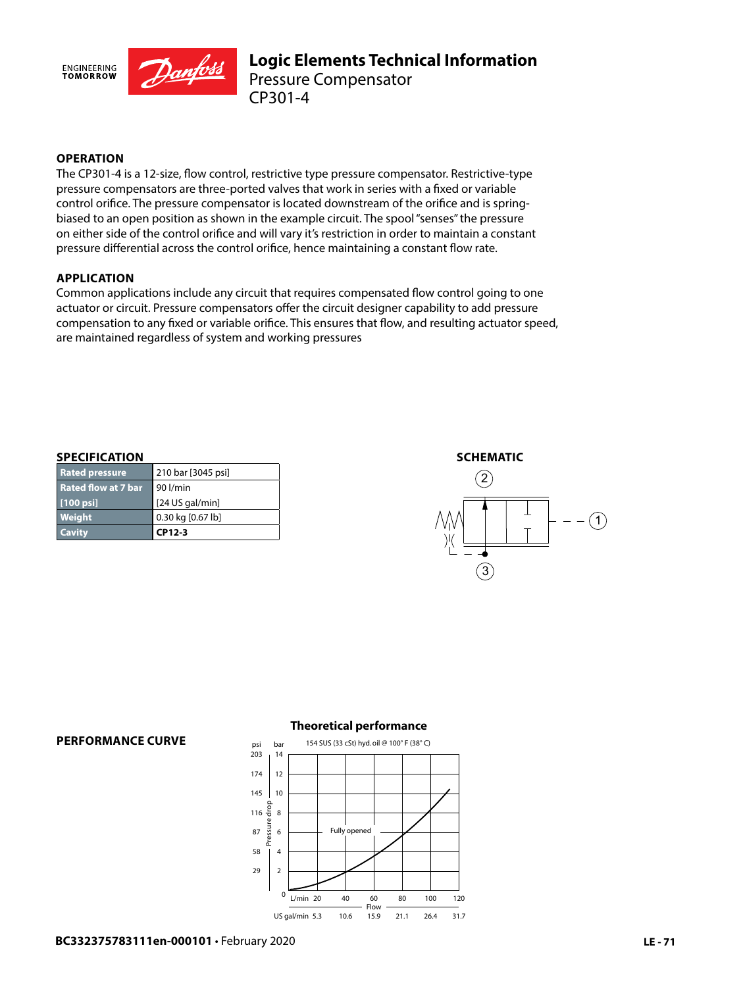

# **OPERATION**

The CP301-4 is a 12-size, flow control, restrictive type pressure compensator. Restrictive-type pressure compensators are three-ported valves that work in series with a fixed or variable control orifice. The pressure compensator is located downstream of the orifice and is springbiased to an open position as shown in the example circuit. The spool "senses" the pressure on either side of the control orifice and will vary it's restriction in order to maintain a constant pressure differential across the control orifice, hence maintaining a constant flow rate.

### **APPLICATION**

Common applications include any circuit that requires compensated flow control going to one actuator or circuit. Pressure compensators offer the circuit designer capability to add pressure compensation to any fixed or variable orifice. This ensures that flow, and resulting actuator speed, are maintained regardless of system and working pressures

#### **SPECIFICATION**

**PERFORMANCE CURVE**

| <b>Cavity</b>              | CP12-3             |
|----------------------------|--------------------|
| Weight                     | 0.30 kg [0.67 lb]  |
| [100 psi]                  | $[24$ US gal/min]  |
| <b>Rated flow at 7 bar</b> | <b>1</b> 901/min   |
| <b>Rated pressure</b>      | 210 bar [3045 psi] |





# **Theoretical performance**